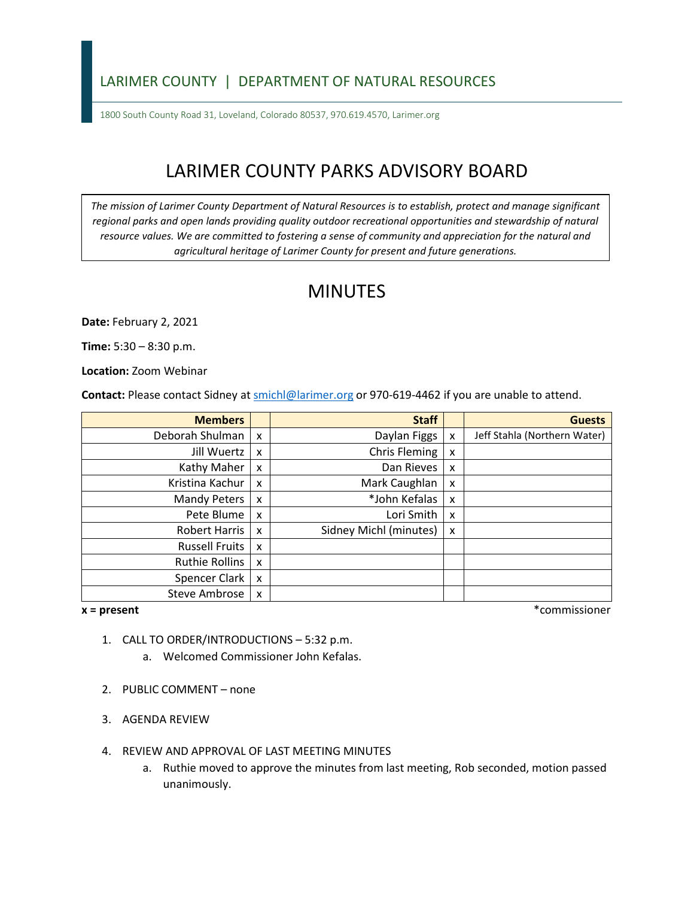### LARIMER COUNTY | DEPARTMENT OF NATURAL RESOURCES

1800 South County Road 31, Loveland, Colorado 80537, 970.619.4570, Larimer.org

# LARIMER COUNTY PARKS ADVISORY BOARD

*The mission of Larimer County Department of Natural Resources is to establish, protect and manage significant*  regional parks and open lands providing quality outdoor recreational opportunities and stewardship of natural *resource values. We are committed to fostering a sense of community and appreciation for the natural and agricultural heritage of Larimer County for present and future generations.*

## MINUTES

**Date:** February 2, 2021

**Time:** 5:30 – 8:30 p.m.

**Location:** Zoom Webinar

**Contact:** Please contact Sidney a[t smichl@larimer.org](mailto:smichl@larimer.org) or 970-619-4462 if you are unable to attend.

| <b>Members</b>        |                           | <b>Staff</b>           |   | <b>Guests</b>                |
|-----------------------|---------------------------|------------------------|---|------------------------------|
| Deborah Shulman       | $\mathbf{x}$              | Daylan Figgs           | X | Jeff Stahla (Northern Water) |
| Jill Wuertz           | X                         | <b>Chris Fleming</b>   | x |                              |
| Kathy Maher           | $\boldsymbol{\mathsf{x}}$ | Dan Rieves             | x |                              |
| Kristina Kachur       | $\boldsymbol{\mathsf{x}}$ | Mark Caughlan          | x |                              |
| <b>Mandy Peters</b>   | X                         | *John Kefalas          | x |                              |
| Pete Blume            | $\boldsymbol{\mathsf{x}}$ | Lori Smith             | x |                              |
| <b>Robert Harris</b>  | $\boldsymbol{\mathsf{x}}$ | Sidney Michl (minutes) | x |                              |
| <b>Russell Fruits</b> | $\boldsymbol{\mathsf{x}}$ |                        |   |                              |
| <b>Ruthie Rollins</b> | $\boldsymbol{\mathsf{x}}$ |                        |   |                              |
| Spencer Clark         | $\boldsymbol{\mathsf{x}}$ |                        |   |                              |
| <b>Steve Ambrose</b>  | $\boldsymbol{\mathsf{x}}$ |                        |   |                              |

**x = present** \*commissioner

- 1. CALL TO ORDER/INTRODUCTIONS 5:32 p.m.
	- a. Welcomed Commissioner John Kefalas.
- 2. PUBLIC COMMENT none
- 3. AGENDA REVIEW
- 4. REVIEW AND APPROVAL OF LAST MEETING MINUTES
	- a. Ruthie moved to approve the minutes from last meeting, Rob seconded, motion passed unanimously.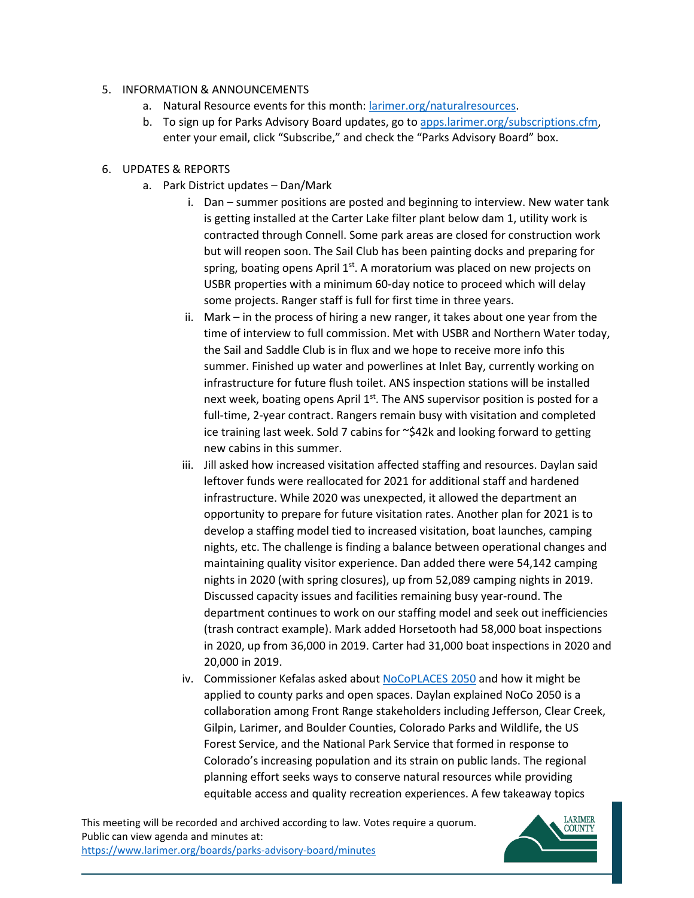#### 5. INFORMATION & ANNOUNCEMENTS

- a. Natural Resource events for this month: [larimer.org/naturalresources.](https://www.larimer.org/naturalresources)
- b. To sign up for Parks Advisory Board updates, go to [apps.larimer.org/subscriptions.cfm,](https://apps.larimer.org/subscriptions.cfm) enter your email, click "Subscribe," and check the "Parks Advisory Board" box.

### 6. UPDATES & REPORTS

- a. Park District updates Dan/Mark
	- i. Dan summer positions are posted and beginning to interview. New water tank is getting installed at the Carter Lake filter plant below dam 1, utility work is contracted through Connell. Some park areas are closed for construction work but will reopen soon. The Sail Club has been painting docks and preparing for spring, boating opens April 1<sup>st</sup>. A moratorium was placed on new projects on USBR properties with a minimum 60-day notice to proceed which will delay some projects. Ranger staff is full for first time in three years.
	- ii. Mark in the process of hiring a new ranger, it takes about one year from the time of interview to full commission. Met with USBR and Northern Water today, the Sail and Saddle Club is in flux and we hope to receive more info this summer. Finished up water and powerlines at Inlet Bay, currently working on infrastructure for future flush toilet. ANS inspection stations will be installed next week, boating opens April 1<sup>st</sup>. The ANS supervisor position is posted for a full-time, 2-year contract. Rangers remain busy with visitation and completed ice training last week. Sold 7 cabins for ~\$42k and looking forward to getting new cabins in this summer.
	- iii. Jill asked how increased visitation affected staffing and resources. Daylan said leftover funds were reallocated for 2021 for additional staff and hardened infrastructure. While 2020 was unexpected, it allowed the department an opportunity to prepare for future visitation rates. Another plan for 2021 is to develop a staffing model tied to increased visitation, boat launches, camping nights, etc. The challenge is finding a balance between operational changes and maintaining quality visitor experience. Dan added there were 54,142 camping nights in 2020 (with spring closures), up from 52,089 camping nights in 2019. Discussed capacity issues and facilities remaining busy year-round. The department continues to work on our staffing model and seek out inefficiencies (trash contract example). Mark added Horsetooth had 58,000 boat inspections in 2020, up from 36,000 in 2019. Carter had 31,000 boat inspections in 2020 and 20,000 in 2019.
	- iv. Commissioner Kefalas asked about [NoCoPLACES 2050](https://www.nocoplaces2050.com/) and how it might be applied to county parks and open spaces. Daylan explained NoCo 2050 is a collaboration among Front Range stakeholders including Jefferson, Clear Creek, Gilpin, Larimer, and Boulder Counties, Colorado Parks and Wildlife, the US Forest Service, and the National Park Service that formed in response to Colorado's increasing population and its strain on public lands. The regional planning effort seeks ways to conserve natural resources while providing equitable access and quality recreation experiences. A few takeaway topics

This meeting will be recorded and archived according to law. Votes require a quorum. Public can view agenda and minutes at: <https://www.larimer.org/boards/parks-advisory-board/minutes>

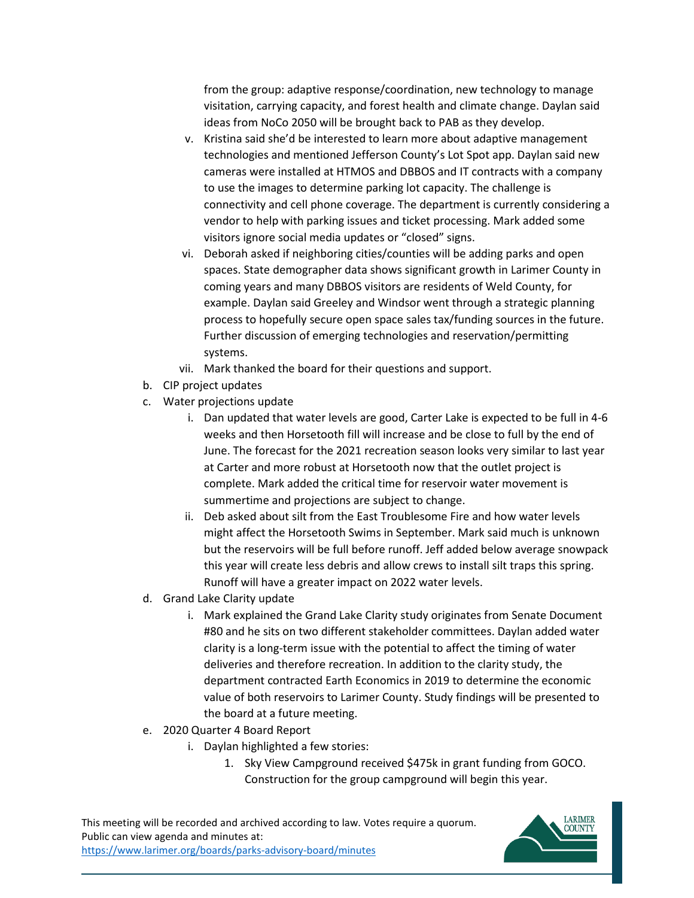from the group: adaptive response/coordination, new technology to manage visitation, carrying capacity, and forest health and climate change. Daylan said ideas from NoCo 2050 will be brought back to PAB as they develop.

- v. Kristina said she'd be interested to learn more about adaptive management technologies and mentioned Jefferson County's Lot Spot app. Daylan said new cameras were installed at HTMOS and DBBOS and IT contracts with a company to use the images to determine parking lot capacity. The challenge is connectivity and cell phone coverage. The department is currently considering a vendor to help with parking issues and ticket processing. Mark added some visitors ignore social media updates or "closed" signs.
- vi. Deborah asked if neighboring cities/counties will be adding parks and open spaces. State demographer data shows significant growth in Larimer County in coming years and many DBBOS visitors are residents of Weld County, for example. Daylan said Greeley and Windsor went through a strategic planning process to hopefully secure open space sales tax/funding sources in the future. Further discussion of emerging technologies and reservation/permitting systems.
- vii. Mark thanked the board for their questions and support.
- b. CIP project updates
- c. Water projections update
	- i. Dan updated that water levels are good, Carter Lake is expected to be full in 4-6 weeks and then Horsetooth fill will increase and be close to full by the end of June. The forecast for the 2021 recreation season looks very similar to last year at Carter and more robust at Horsetooth now that the outlet project is complete. Mark added the critical time for reservoir water movement is summertime and projections are subject to change.
	- ii. Deb asked about silt from the East Troublesome Fire and how water levels might affect the Horsetooth Swims in September. Mark said much is unknown but the reservoirs will be full before runoff. Jeff added below average snowpack this year will create less debris and allow crews to install silt traps this spring. Runoff will have a greater impact on 2022 water levels.
- d. Grand Lake Clarity update
	- i. Mark explained the Grand Lake Clarity study originates from Senate Document #80 and he sits on two different stakeholder committees. Daylan added water clarity is a long-term issue with the potential to affect the timing of water deliveries and therefore recreation. In addition to the clarity study, the department contracted Earth Economics in 2019 to determine the economic value of both reservoirs to Larimer County. Study findings will be presented to the board at a future meeting.
- e. 2020 Quarter 4 Board Report
	- i. Daylan highlighted a few stories:
		- 1. Sky View Campground received \$475k in grant funding from GOCO. Construction for the group campground will begin this year.

This meeting will be recorded and archived according to law. Votes require a quorum. Public can view agenda and minutes at: <https://www.larimer.org/boards/parks-advisory-board/minutes>